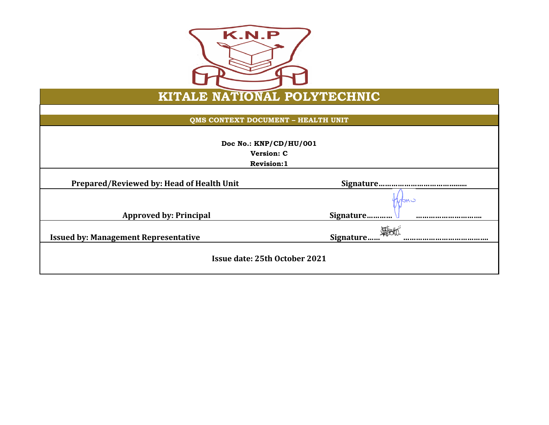

## **KITALE NATIONAL POLYTECHNIC**

**QMS CONTEXT DOCUMENT – HEALTH UNIT**

| Doc No.: KNP/CD/HU/001<br>Version: C<br><b>Revision:1</b> |           |  |
|-----------------------------------------------------------|-----------|--|
|                                                           |           |  |
| Prepared/Reviewed by: Head of Health Unit                 |           |  |
|                                                           | с мор     |  |
| <b>Approved by: Principal</b>                             | Signature |  |
| <b>Issued by: Management Representative</b>               | Signature |  |
| Issue date: 25th October 2021                             |           |  |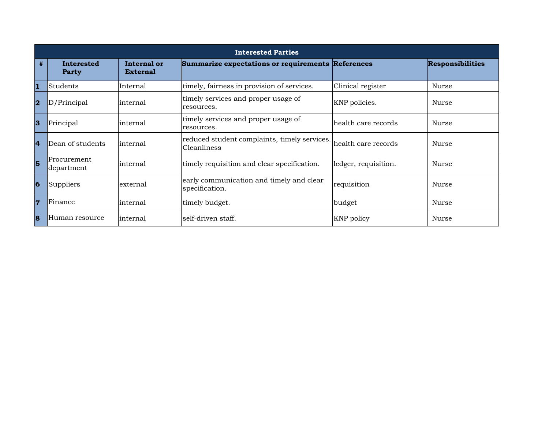|                         | <b>Interested Parties</b>         |                                |                                                             |                      |                         |
|-------------------------|-----------------------------------|--------------------------------|-------------------------------------------------------------|----------------------|-------------------------|
| #                       | <b>Interested</b><br><b>Party</b> | Internal or<br><b>External</b> | Summarize expectations or requirements References           |                      | <b>Responsibilities</b> |
| $\mathbf{1}$            | Students                          | Internal                       | timely, fairness in provision of services.                  | Clinical register    | Nurse                   |
| $\overline{\mathbf{2}}$ | D/Principal                       | internal                       | timely services and proper usage of<br>resources.           | KNP policies.        | Nurse                   |
| 3                       | Principal                         | internal                       | timely services and proper usage of<br>resources.           | health care records  | <b>Nurse</b>            |
| $\overline{4}$          | Dean of students                  | internal                       | reduced student complaints, timely services.<br>Cleanliness | lhealth care records | <b>Nurse</b>            |
| 5                       | Procurement<br>department         | internal                       | timely requisition and clear specification.                 | ledger, requisition. | Nurse                   |
| $6\phantom{1}6$         | Suppliers                         | external                       | early communication and timely and clear<br>specification.  | requisition          | <b>Nurse</b>            |
| $\overline{7}$          | Finance                           | internal                       | timely budget.                                              | budget               | Nurse                   |
| 8                       | Human resource                    | internal                       | self-driven staff.                                          | <b>KNP</b> policy    | Nurse                   |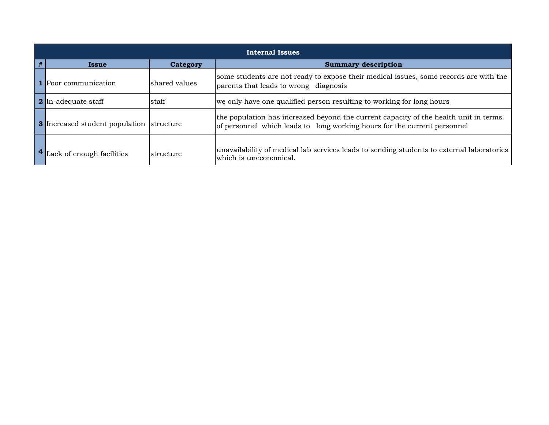| Internal Issues                                 |               |                                                                                                                                                                  |  |  |  |
|-------------------------------------------------|---------------|------------------------------------------------------------------------------------------------------------------------------------------------------------------|--|--|--|
| <b>Category</b><br>Issue                        |               | <b>Summary description</b>                                                                                                                                       |  |  |  |
| <b>1</b> Poor communication                     | shared values | some students are not ready to expose their medical issues, some records are with the<br>parents that leads to wrong diagnosis                                   |  |  |  |
| 2 In-adequate staff                             | staff         | we only have one qualified person resulting to working for long hours                                                                                            |  |  |  |
| <b>3</b> Increased student population structure |               | the population has increased beyond the current capacity of the health unit in terms<br>of personnel which leads to long working hours for the current personnel |  |  |  |
| <sup>4</sup> Lack of enough facilities          | structure     | unavailability of medical lab services leads to sending students to external laboratories<br>which is uneconomical.                                              |  |  |  |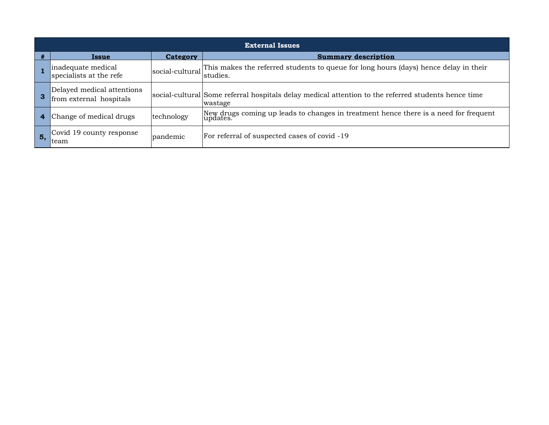|    | <b>External Issues</b>                                |                 |                                                                                                                |  |  |  |
|----|-------------------------------------------------------|-----------------|----------------------------------------------------------------------------------------------------------------|--|--|--|
|    | <b>Issue</b>                                          | <b>Category</b> | <b>Summary description</b>                                                                                     |  |  |  |
|    | inadequate medical<br>specialists at the refe         | social-cultural | This makes the referred students to queue for long hours (days) hence delay in their<br>studies.               |  |  |  |
|    | Delayed medical attentions<br>from external hospitals |                 | social-cultural Some referral hospitals delay medical attention to the referred students hence time<br>wastage |  |  |  |
|    | Change of medical drugs                               | technology      | New drugs coming up leads to changes in treatment hence there is a need for frequent<br>updates.               |  |  |  |
| 5. | Covid 19 county response<br>Iteam                     | pandemic        | For referral of suspected cases of covid -19                                                                   |  |  |  |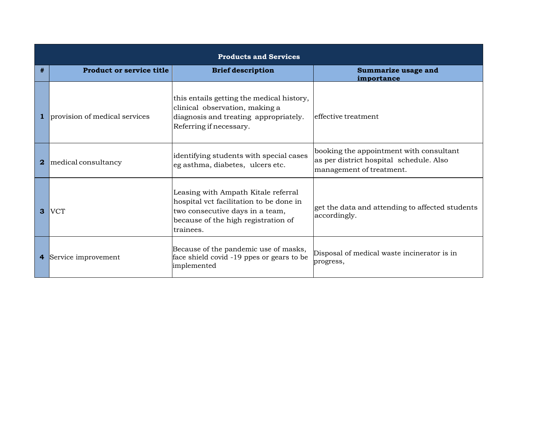|    | <b>Products and Services</b>    |                                                                                                                                                                       |                                                                                                                |  |  |  |
|----|---------------------------------|-----------------------------------------------------------------------------------------------------------------------------------------------------------------------|----------------------------------------------------------------------------------------------------------------|--|--|--|
| #  | <b>Product or service title</b> | <b>Brief description</b>                                                                                                                                              | Summarize usage and<br>importance                                                                              |  |  |  |
|    | provision of medical services   | this entails getting the medical history,<br>clinical observation, making a<br>diagnosis and treating appropriately.<br>Referring if necessary.                       | effective treatment                                                                                            |  |  |  |
| 2. | medical consultancy             | identifying students with special cases<br>eg asthma, diabetes, ulcers etc.                                                                                           | booking the appointment with consultant<br>as per district hospital schedule. Also<br>management of treatment. |  |  |  |
| 3  | <b>IVCT</b>                     | Leasing with Ampath Kitale referral<br>hospital vct facilitation to be done in<br>two consecutive days in a team,<br>because of the high registration of<br>trainees. | get the data and attending to affected students<br>accordingly.                                                |  |  |  |
| 4  | Service improvement             | Because of the pandemic use of masks,<br>face shield covid -19 ppes or gears to be<br>implemented                                                                     | Disposal of medical waste incinerator is in<br>progress,                                                       |  |  |  |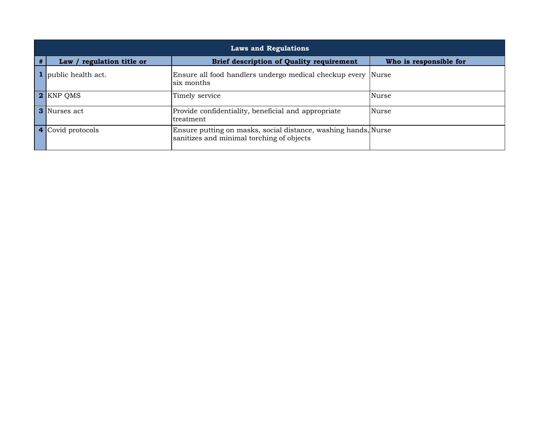|   | <b>Laws and Regulations</b> |                                                                                                             |                        |  |  |  |
|---|-----------------------------|-------------------------------------------------------------------------------------------------------------|------------------------|--|--|--|
| # | Law / regulation title or   | <b>Brief description of Quality requirement</b>                                                             | Who is responsible for |  |  |  |
|   | <b>1</b> public health act. | Ensure all food handlers undergo medical checkup every Nurse<br>six months                                  |                        |  |  |  |
|   | 2 KNP QMS                   | Timely service                                                                                              | Nurse                  |  |  |  |
|   | 3 Nurses act                | Provide confidentiality, beneficial and appropriate<br>treatment                                            | Nurse                  |  |  |  |
|   | 4 Covid protocols           | Ensure putting on masks, social distance, washing hands, Nurse<br>sanitizes and minimal torching of objects |                        |  |  |  |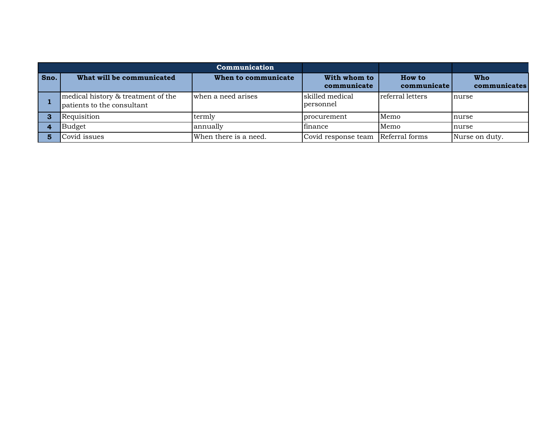| Communication |                                                                  |                       |                              |                       |                     |
|---------------|------------------------------------------------------------------|-----------------------|------------------------------|-----------------------|---------------------|
| Sno.          | What will be communicated                                        | When to communicate   | With whom to<br>communicate  | How to<br>communicate | Who<br>communicates |
|               | medical history & treatment of the<br>patients to the consultant | when a need arises    | skilled medical<br>personnel | referral letters      | nurse               |
|               | Requisition                                                      | termly                | <u>procurement</u>           | Memo                  | nurse               |
|               | Budget                                                           | annually              | finance                      | Memo                  | nurse               |
|               | Covid issues                                                     | When there is a need. | Covid response team          | Referral forms        | Nurse on duty.      |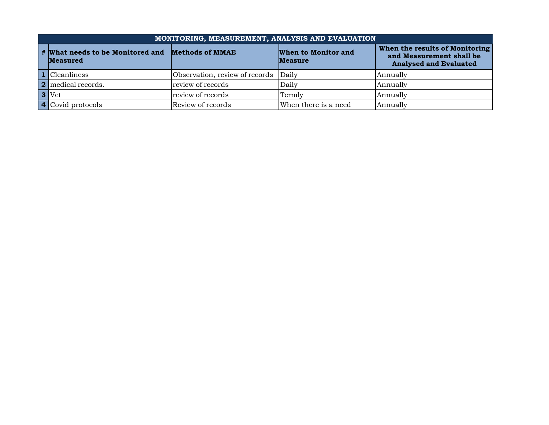|                                                                     | MONITORING, MEASUREMENT, ANALYSIS AND EVALUATION |                                      |                                       |                                                                                             |  |  |  |
|---------------------------------------------------------------------|--------------------------------------------------|--------------------------------------|---------------------------------------|---------------------------------------------------------------------------------------------|--|--|--|
| # What needs to be Monitored and Methods of MMAE<br><b>Measured</b> |                                                  |                                      | When to Monitor and<br><b>Measure</b> | When the results of Monitoring<br>and Measurement shall be<br><b>Analysed and Evaluated</b> |  |  |  |
|                                                                     | 1 Cleanliness                                    | Observation, review of records Daily |                                       | Annually                                                                                    |  |  |  |
|                                                                     | <b>2</b> medical records.                        | review of records                    | Daily                                 | Annually                                                                                    |  |  |  |
|                                                                     | $3$ Vct                                          | review of records                    | Termly                                | Annually                                                                                    |  |  |  |
|                                                                     | 4 Covid protocols                                | Review of records                    | When there is a need                  | Annually                                                                                    |  |  |  |